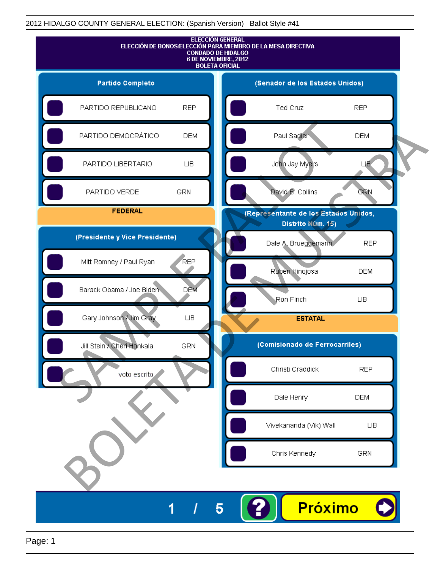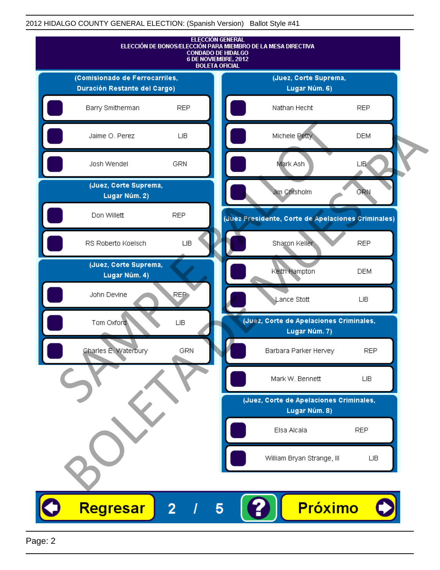

Page: 2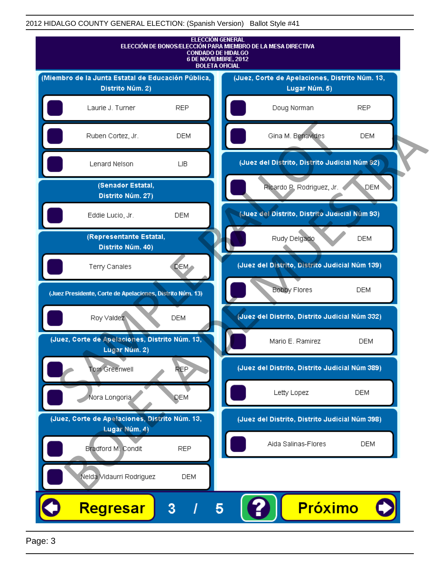

Page: 3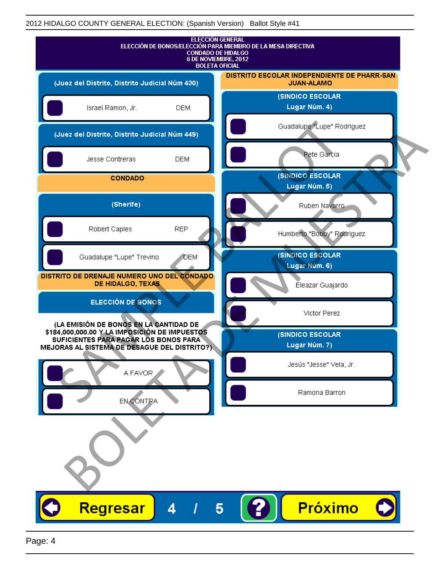| <b>ELECCIÓN GENERAL</b><br>ELECCIÓN DE BONOS/ELECCIÓN PARA MIEMBRO DE LA MESA DIRECTIVA<br><b>CONDADO DE HIDALGO</b><br>6 DE NOVIEMBRE, 2012<br><b>BOLETA OFICIAL</b>            |                                                                  |
|----------------------------------------------------------------------------------------------------------------------------------------------------------------------------------|------------------------------------------------------------------|
| (Juez del Distrito, Distrito Judicial Núm 430)                                                                                                                                   | DISTRITO ESCOLAR INDEPENDIENTE DE PHARR-SAN<br><b>JUAN-ALAMO</b> |
| Israel Ramon, Jr.<br><b>DEM</b>                                                                                                                                                  | (SINDICO ESCOLAR<br>Lugar Núm. 4)                                |
| (Juez del Distrito, Distrito Judicial Núm 449)                                                                                                                                   | Guadalupe "Lupe" Rodriguez                                       |
| Jesse Contreras<br><b>DEM</b>                                                                                                                                                    | Pete Garcia                                                      |
| <b>CONDADO</b>                                                                                                                                                                   | <b>(SINDICO ESCOLAR</b><br>Lugar Núm. 5)                         |
| (Sherife)                                                                                                                                                                        | Ruben Navarro                                                    |
| <b>REP</b><br>Robert Caples                                                                                                                                                      | Humberto "Bobby" Rodriguez                                       |
| Guadalupe "Lupe" Trevino<br>DEM                                                                                                                                                  | (SINDICO ESCOLAR<br>Lugar Núm. 6)                                |
| DISTRITO DE DRENAJE NUMERO UNO DEL CONDADO<br>DE HIDALGO, TEXAS                                                                                                                  | Éleazar Guajardo                                                 |
| <b>ELECCIÓN DE BONOS</b>                                                                                                                                                         | Victor Perez                                                     |
| (LA EMISIÓN DE BONOS EN LA CANTIDAD DE<br>\$184,000,000.00 Y LA IMPOSICIÓN DE IMPUESTOS<br>SUFICIENTES PARA PAGAR LOS BONOS PARA<br>MEJORAS AL SISTEMA DE DESAGUE DEL DISTRITO?) | (SINDICO ESCOLAR<br>Lugar Núm. 7)                                |
| A FAVOR                                                                                                                                                                          | Jesús "Jesse" Vela, Jr.                                          |
| EN CONTRA                                                                                                                                                                        | Ramona Barron                                                    |
|                                                                                                                                                                                  |                                                                  |
| Regresar<br>Δ                                                                                                                                                                    | <b>Próximo</b>                                                   |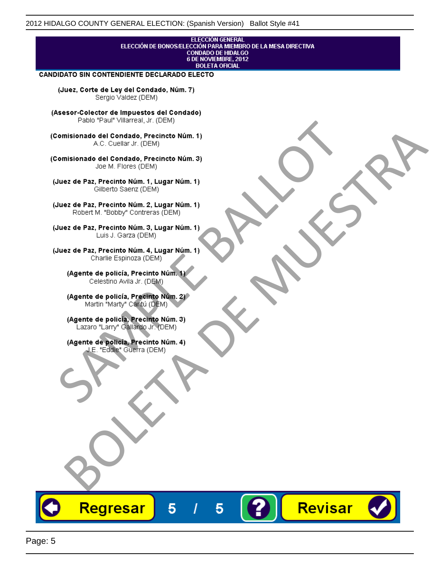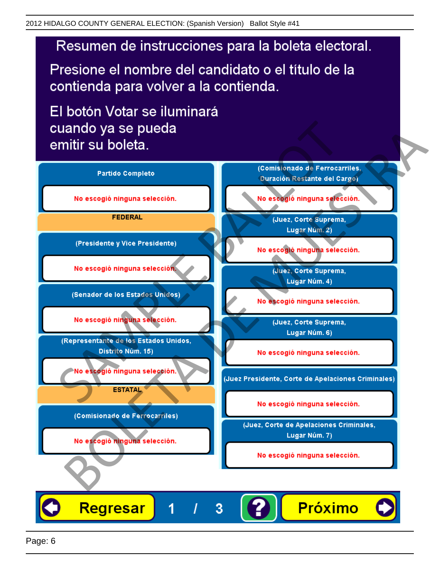# Resumen de instrucciones para la boleta electoral.

Presione el nombre del candidato o el título de la contienda para volver a la contienda.

El botón Votar se iluminará

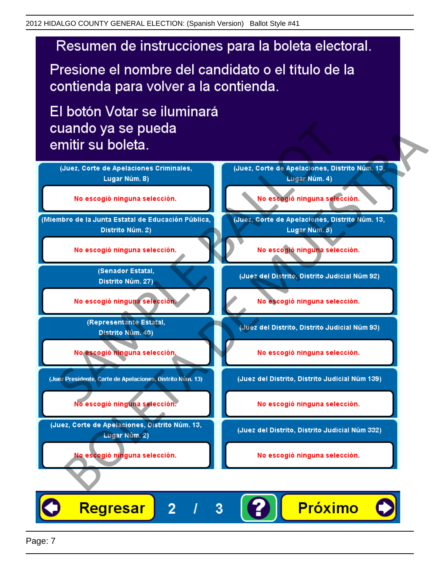# Resumen de instrucciones para la boleta electoral.

Presione el nombre del candidato o el título de la contienda para volver a la contienda.

El botón Votar se iluminará